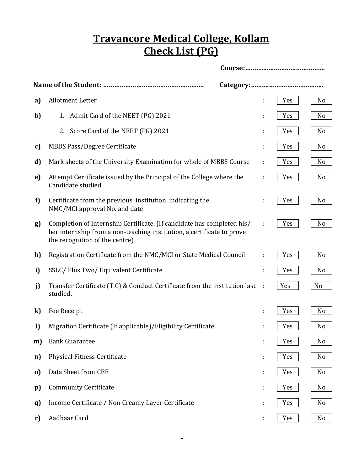## **Travancore Medical College, Kollam Check List (PG)**

| a)           | <b>Allotment Letter</b>                                                                                                                                                            |    | Yes | No |  |  |  |
|--------------|------------------------------------------------------------------------------------------------------------------------------------------------------------------------------------|----|-----|----|--|--|--|
| b)           | Admit Card of the NEET (PG) 2021<br>1.                                                                                                                                             |    | Yes | No |  |  |  |
|              | 2. Score Card of the NEET (PG) 2021                                                                                                                                                |    | Yes | No |  |  |  |
| c)           | MBBS Pass/Degree Certificate                                                                                                                                                       |    | Yes | No |  |  |  |
| d)           | Mark sheets of the University Examination for whole of MBBS Course                                                                                                                 | ÷  | Yes | No |  |  |  |
| e)           | Attempt Certificate issued by the Principal of the College where the<br>Candidate studied                                                                                          | ÷  | Yes | No |  |  |  |
| f)           | Certificate from the previous institution indicating the<br>NMC/MCI approval No. and date                                                                                          |    | Yes | No |  |  |  |
| g)           | Completion of Internship Certificate. (If candidate has completed his/<br>her internship from a non-teaching institution, a certificate to prove<br>the recognition of the centre) |    | Yes | No |  |  |  |
| h)           | Registration Certificate from the NMC/MCI or State Medical Council                                                                                                                 | ÷  | Yes | No |  |  |  |
| i)           | SSLC/Plus Two/Equivalent Certificate                                                                                                                                               | ÷  | Yes | No |  |  |  |
| j)           | Transfer Certificate (T.C) & Conduct Certificate from the institution last<br>studied.                                                                                             | ÷  | Yes | No |  |  |  |
| $\bf k)$     | Fee Receipt                                                                                                                                                                        | ÷  | Yes | No |  |  |  |
| I)           | Migration Certificate (If applicable)/Eligibility Certificate.                                                                                                                     |    | Yes | No |  |  |  |
| m)           | <b>Bank Guarantee</b>                                                                                                                                                              | t  | Yes | No |  |  |  |
| n)           | <b>Physical Fitness Certificate</b>                                                                                                                                                | t. | Yes | No |  |  |  |
| $\mathbf{0}$ | Data Sheet from CEE                                                                                                                                                                | t, | Yes | No |  |  |  |
| $\mathbf{p}$ | <b>Community Certificate</b>                                                                                                                                                       |    | Yes | No |  |  |  |
| q)           | Income Certificate / Non Creamy Layer Certificate                                                                                                                                  |    | Yes | No |  |  |  |
| r)           | Aadhaar Card                                                                                                                                                                       | ÷  | Yes | No |  |  |  |